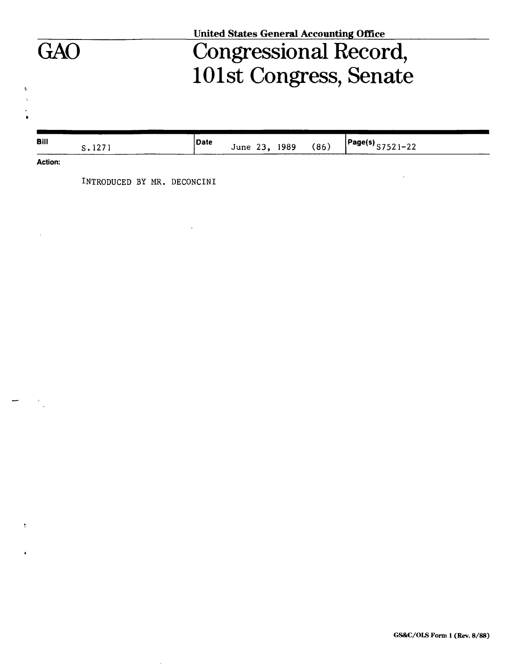|                |        | Congressional Record,<br>101st Congress, Senate                         |  |
|----------------|--------|-------------------------------------------------------------------------|--|
| <b>Bill</b>    | S.1271 | Date<br>$\left[\text{Page(s)}\right]$ S7521-22<br>June 23, 1989<br>(86) |  |
| <b>Action:</b> |        |                                                                         |  |
|                |        |                                                                         |  |

 $\mathcal{L}(\mathcal{L})$  and  $\mathcal{L}(\mathcal{L})$  and  $\mathcal{L}(\mathcal{L})$  .

 $\sim$ 

 $\mathbf{H}^{(1)}$  .

 $\frac{1}{\sqrt{2}}\left( \frac{1}{\sqrt{2}}\right) \left( \frac{1}{\sqrt{2}}\right) ^{2}$ 

 $\mathfrak{t}^+$ 

 $\pmb{\cdot}$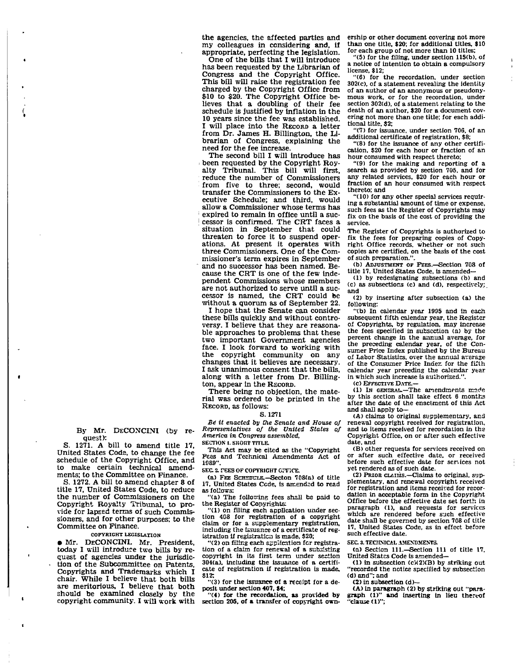the agencies, the affected parties and my colleagues in considering and, if appropriate, perfecting the legislation.

One of the bills that I will introduce has been requested by the Librarian of Congress and the Copyright Office. This bill will raise the registration fee charged by the Copyright Office from \$10 to \$20. The Copyright Office believes that a doubling of their fee schedule is justified by inflation in the 10 years since the fee was established. I will place into the RECORD a letter from Dr. James H. Billington, the Librarian of Congress, explaining the need for the fee increase.

The second bill I will introduce has been requested by the Copyright Royalty Tribunal. This bill will first, reduce the number of Commissioners from five to three; second, would transfer the Commissioners to the Executive Schedule; and third, would allow a Commissioner whose terms has expired to remain in office until a suc-| cessor is confirmed. The CRT faces a situation in September that could threaten to force it to suspend operations. At present it operates with three Commissioners. One of the Commissioner's term expires in September and no successor has been named. Because the CRT is one of the few independent Commissions whose members are not authorized to serve until a successor is named, the CRT could be without a quorum as of September 22.

I hope that the Senate can consider these bills quickly and without controversy. I believe that they are reasonable approaches to problems that these two important Government agencies face. I look forward to working with the copyright community on any changes that it believes are necessary. I ask unanimous consent that the bills, along with a letter from Dr. Billington, appear in the RECORD.

There being no objection, the material was ordered to be printed in the RECORD, as follows:

## S. 1271

*Be it enacted by the Senate and House of Representatives of the United States of America in Congress assembled,* 

**SECTION I. SHORT TITLE.** 

This Act may be cited as the "Copyright Pees and Technical Amendments Act of 1589".

**SEC. 2. FEES OF COPYRIGHT GPFICE.** 

(a) FEE SCHEDULE.—Secton 708(a) of title 17, United States Cede, is amended to read as follows:

"(a) The following fees shall be paid to the Register of Copyrights:

"(1) on filing each application under section 408 for registration of a copyright claim or for a supplementary registration, including the issuance of a certificate of registration if registration is made, \$20;

"<2) on filing each application fcr registration of a claim for renewal of a subsisting copyright in its first term under section 304(a). including the issuance of a certificate of registration if registration is made, \$12;

 $\cdot$  (3) for the issuance of a receipt for a deposit under section 407, \$4;

"(4) for the recordation, as provided by section 205, of a transfer of copyright ownership or other document covering not more than one title, \$20; for additional titles, \$10 for each group of not more than 10 titles;

"(5) for the filing, under section 115(b), of a notice of intention to obtain a compulsory license, \$12;

"(6) for the recordation, under section 302(c), of a statement revealing the identity of an author of an anonymous or pseudonymous work, or for the recordation, under section 302(d), of a statement relating to the death of an author, \$20 for a document covering not more than one title; for each additional title, \$2;

"(7) for issuance, under section 706, of an additional certificate of registration, \$8;

"(8) for the issuance of any other certification, \$20 for each hour or fraction of an hour consumed with respect thereto;

"(9) for the making and reporting of a search as provided by section 705, and for any related services, \$20 for each hour or fraction of an hour consumed with respect thereto; and

"(10) for any other special services requiring a substantial amount of time or expense, such fees as the Register of Copyrights may fix on the basis of the cost of providing the service.

The Register of Copyrights is authorized to fix the fees for preparing copies of Copyright Office records, whether or not such copies are certified, on the basis of the cost of such preparation.".

(b) ADJUSTMENT OF PEES.—Section 708 of title 17, United States Code, is amended—

(1) by redesignating subsections (b) and (c) as subsections (c) and (d), respectively; and

(2) by inserting after subsection (a) the following:

"(b) In calendar year 1995 and in each subsequent fifth calendar year, the Register of Copyrights, by regulation, may increase the fees specified in subsection (a) by the percent change in the annual average, for the preceding calendar year, of the Consumer Price Index published by the Bureau of Labor Statistics, over the annual average of the Consumer Price Indez. for the fifth calendar year preceding the calendar year in which such increase is authorized."

(c) EFFECTIVE DATE.—

(1) In GENERAL.—The amendments made by this section shall take effect 6 months after the date of the enactment of this Act and shall apply to—

(A) claims to original supplementary, and renewal copyright received for registration, and to items received for recordation in the Copyright Office, on or after such effective date, and

(B) other requests for services received on or after such effective date, or received before such effective date for services not yet rendered as of such date.

(2) PRIOR CLAIMS.—Claims to original, supplementary, and renewal copyright received for registration and items received for recordation in acceptable form In the Copyright Office before the effective date set forth in paragraph (1), and requests for services which are rendered before such effective date shall be governed by section 708 of title 17, United States Code, as in effect before such effective date.

**SEC. 3. TECHNICAL AMENDMENTS.** 

(a) Section 111.—Section 111 of title 17. United States Code is amended—

(1) in subsection (cM2XB) by striking out "recorded the notice specified by subsection (d) and"; and

(2) in subsection  $(d)$ —<br>(A) in paragraph (2) by striking out "para-(A) in paragraph (2) by striking out "para-graph (1)" and inserting in lieu thereof 'clause (1)";

By Mr. DECONCINI (by request):

S. 1271. A bill to amend title 17, United States Cods, to change the fee schedule of the Copyright Office, and to make certain technical amendments; to the Committee on Finance.

S. 1272. A bill to amend chapter 8 of title 17, United States Code, to reduce the number of Commissioners on the Copyright Royalty Tribunal, to provide for lapsed terms of such Commissioners, and for other purposes; to the Committee on Finance.

## **COPYRIGHT LEGISLATION**

• Mr. DECONCINI. Mr. President, today I will introduce two bills by request of agencies under the jurisdiction of the Subcommittee on Patents, Copyrights and Trademarks which I chair. While I believe that both bills are meritorious, I believe that both should be examined closely by the copyright community. I will work with